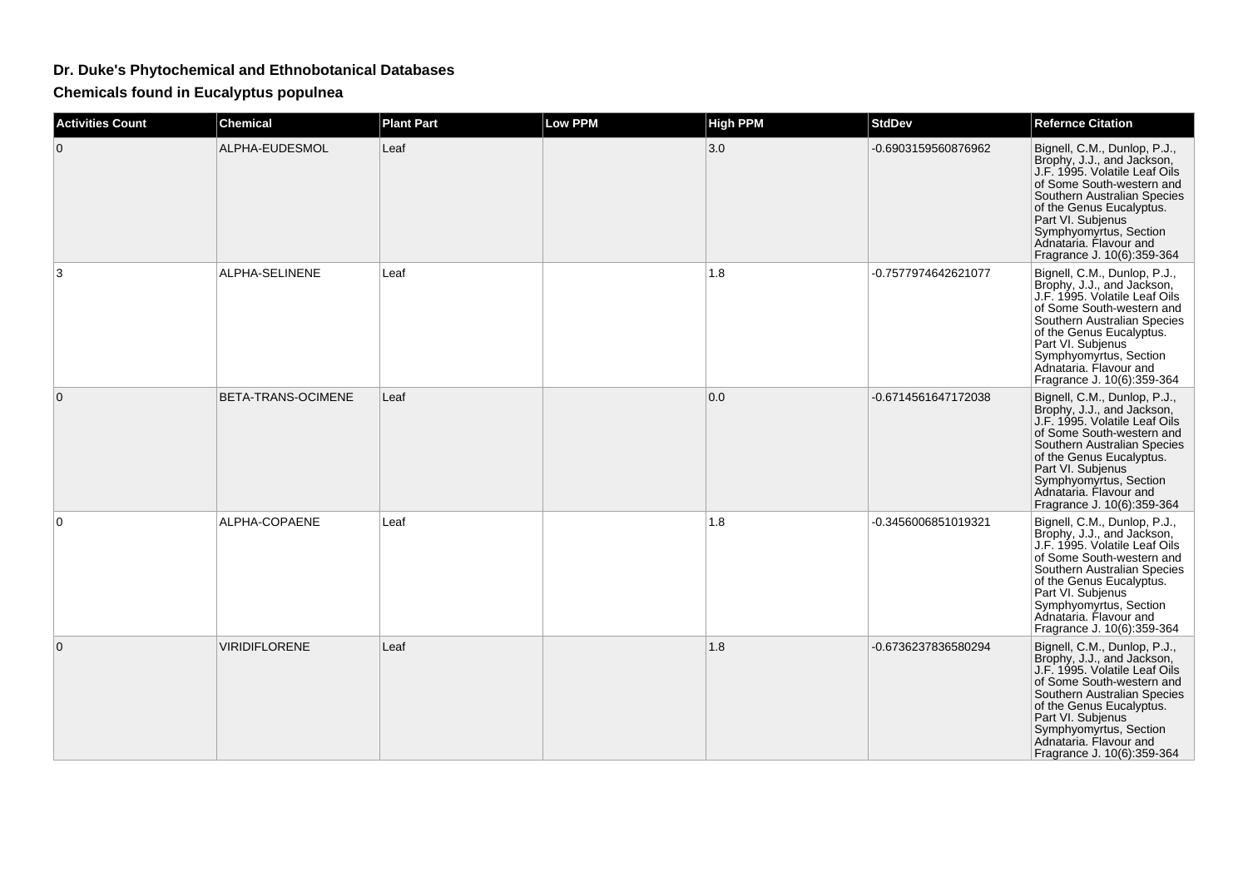## **Dr. Duke's Phytochemical and Ethnobotanical Databases**

**Chemicals found in Eucalyptus populnea**

| <b>Activities Count</b> | <b>Chemical</b>      | <b>Plant Part</b> | Low PPM | <b>High PPM</b> | <b>StdDev</b>       | <b>Refernce Citation</b>                                                                                                                                                                                                                                                                   |
|-------------------------|----------------------|-------------------|---------|-----------------|---------------------|--------------------------------------------------------------------------------------------------------------------------------------------------------------------------------------------------------------------------------------------------------------------------------------------|
| 0                       | ALPHA-EUDESMOL       | Leaf              |         | 3.0             | -0.6903159560876962 | Bignell, C.M., Dunlop, P.J.,<br>Brophy, J.J., and Jackson,<br>J.F. 1995. Volatile Leaf Oils<br>of Some South-western and<br>Southern Australian Species<br>of the Genus Eucalyptus.<br>Part VI. Subjenus<br>Symphyomyrtus, Section<br>Adnataria, Flavour and<br>Fragrance J. 10(6):359-364 |
| 3                       | ALPHA-SELINENE       | Leaf              |         | 1.8             | -0.7577974642621077 | Bignell, C.M., Dunlop, P.J.,<br>Brophy, J.J., and Jackson,<br>J.F. 1995. Volatile Leaf Oils<br>of Some South-western and<br>Southern Australian Species<br>of the Genus Eucalyptus.<br>Part VI. Subjenus<br>Symphyomyrtus, Section<br>Adnataria. Flavour and<br>Fragrance J. 10(6):359-364 |
| $\Omega$                | BETA-TRANS-OCIMENE   | Leaf              |         | 0.0             | -0.6714561647172038 | Bignell, C.M., Dunlop, P.J.,<br>Brophy, J.J., and Jackson,<br>J.F. 1995. Volatile Leaf Oils<br>of Some South-western and<br>Southern Australian Species<br>of the Genus Eucalyptus.<br>Part VI. Subjenus<br>Symphyomyrtus, Section<br>Adnataria, Flavour and<br>Fragrance J. 10(6):359-364 |
| 0                       | ALPHA-COPAENE        | Leaf              |         | 1.8             | -0.3456006851019321 | Bignell, C.M., Dunlop, P.J.,<br>Brophy, J.J., and Jackson,<br>J.F. 1995. Volatile Leaf Oils<br>of Some South-western and<br>Southern Australian Species<br>of the Genus Eucalyptus.<br>Part VI. Subjenus<br>Symphyomyrtus, Section<br>Adnataria. Flavour and<br>Fragrance J. 10(6):359-364 |
| 0                       | <b>VIRIDIFLORENE</b> | Leaf              |         | 1.8             | -0.6736237836580294 | Bignell, C.M., Dunlop, P.J.,<br>Brophy, J.J., and Jackson,<br>J.F. 1995. Volatile Leaf Oils<br>of Some South-western and<br>Southern Australian Species<br>of the Genus Eucalyptus.<br>Part VI. Subjenus<br>Symphyomyrtus, Section<br>Adnataria. Flavour and<br>Fragrance J. 10(6):359-364 |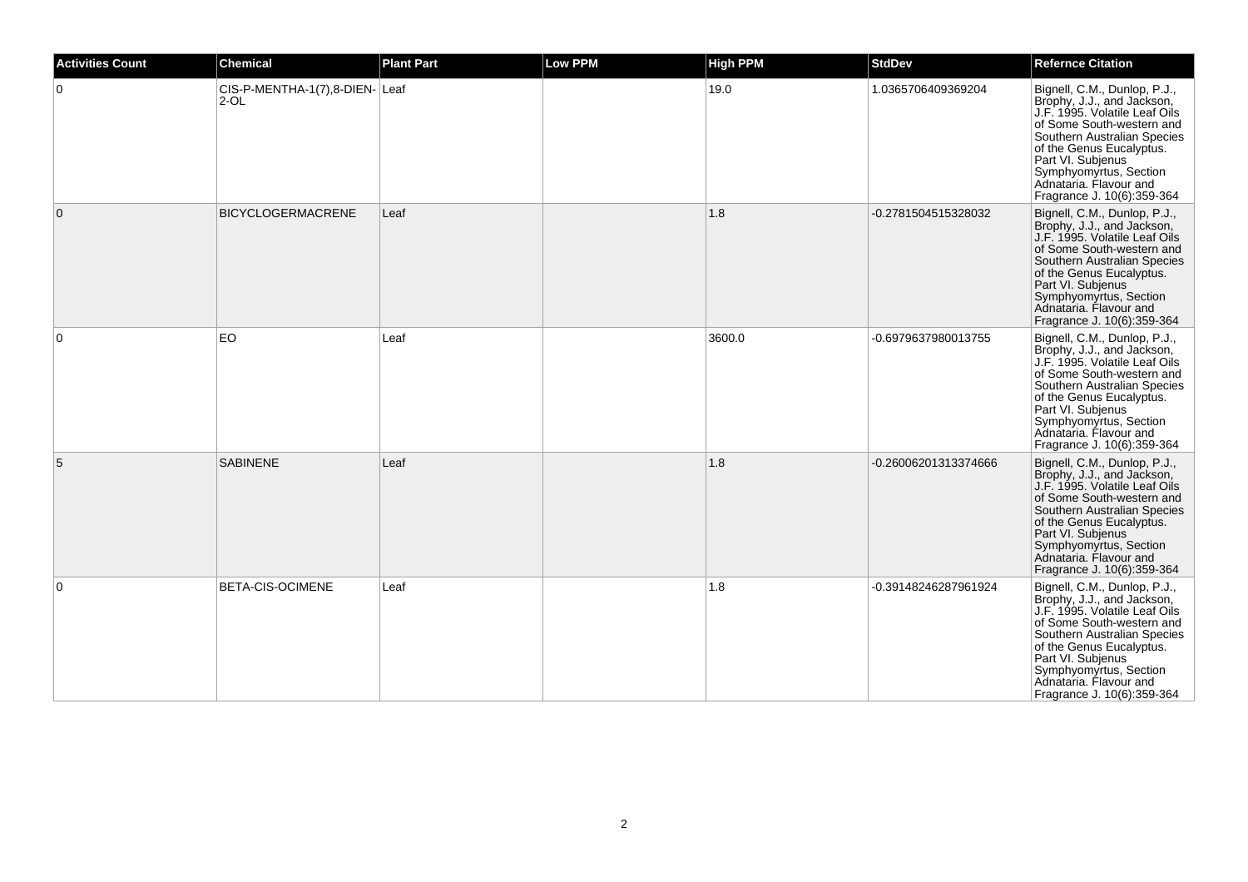| <b>Activities Count</b> | <b>Chemical</b>                         | <b>Plant Part</b> | <b>Low PPM</b> | <b>High PPM</b> | <b>StdDev</b>        | <b>Refernce Citation</b>                                                                                                                                                                                                                                                                   |
|-------------------------|-----------------------------------------|-------------------|----------------|-----------------|----------------------|--------------------------------------------------------------------------------------------------------------------------------------------------------------------------------------------------------------------------------------------------------------------------------------------|
| $\mathbf 0$             | CIS-P-MENTHA-1(7),8-DIEN-Leaf<br>$2-OL$ |                   |                | 19.0            | 1.0365706409369204   | Bignell, C.M., Dunlop, P.J.,<br>Brophy, J.J., and Jackson,<br>J.F. 1995. Volatile Leaf Oils<br>of Some South-western and<br>Southern Australian Species<br>of the Genus Eucalyptus.<br>Part VI. Subjenus<br>Symphyomyrtus, Section<br>Adnataria, Flavour and<br>Fragrance J. 10(6):359-364 |
| $\overline{0}$          | <b>BICYCLOGERMACRENE</b>                | Leaf              |                | 1.8             | -0.2781504515328032  | Bignell, C.M., Dunlop, P.J.,<br>Brophy, J.J., and Jackson,<br>J.F. 1995. Volatile Leaf Oils<br>of Some South-western and<br>Southern Australian Species<br>of the Genus Eucalyptus.<br>Part VI. Subjenus<br>Symphyomyrtus, Section<br>Adnataria, Flavour and<br>Fragrance J. 10(6):359-364 |
| $\Omega$                | <b>EO</b>                               | Leaf              |                | 3600.0          | -0.6979637980013755  | Bignell, C.M., Dunlop, P.J.,<br>Brophy, J.J., and Jackson,<br>J.F. 1995. Volatile Leaf Oils<br>of Some South-western and<br>Southern Australian Species<br>of the Genus Eucalyptus.<br>Part VI. Subjenus<br>Symphyomyrtus, Section<br>Adnataria. Flavour and<br>Fragrance J. 10(6):359-364 |
| 5                       | <b>SABINENE</b>                         | Leaf              |                | 1.8             | -0.26006201313374666 | Bignell, C.M., Dunlop, P.J.,<br>Brophy, J.J., and Jackson,<br>J.F. 1995. Volatile Leaf Oils<br>of Some South-western and<br>Southern Australian Species<br>of the Genus Eucalyptus.<br>Part VI. Subjenus<br>Symphyomyrtus, Section<br>Adnataria. Flavour and<br>Fragrance J. 10(6):359-364 |
| $\Omega$                | <b>BETA-CIS-OCIMENE</b>                 | Leaf              |                | 1.8             | -0.39148246287961924 | Bignell, C.M., Dunlop, P.J.,<br>Brophy, J.J., and Jackson,<br>J.F. 1995. Volatile Leaf Oils<br>of Some South-western and<br>Southern Australian Species<br>of the Genus Eucalyptus.<br>Part VI. Subjenus<br>Symphyomyrtus, Section<br>Adnataria. Flavour and<br>Fragrance J. 10(6):359-364 |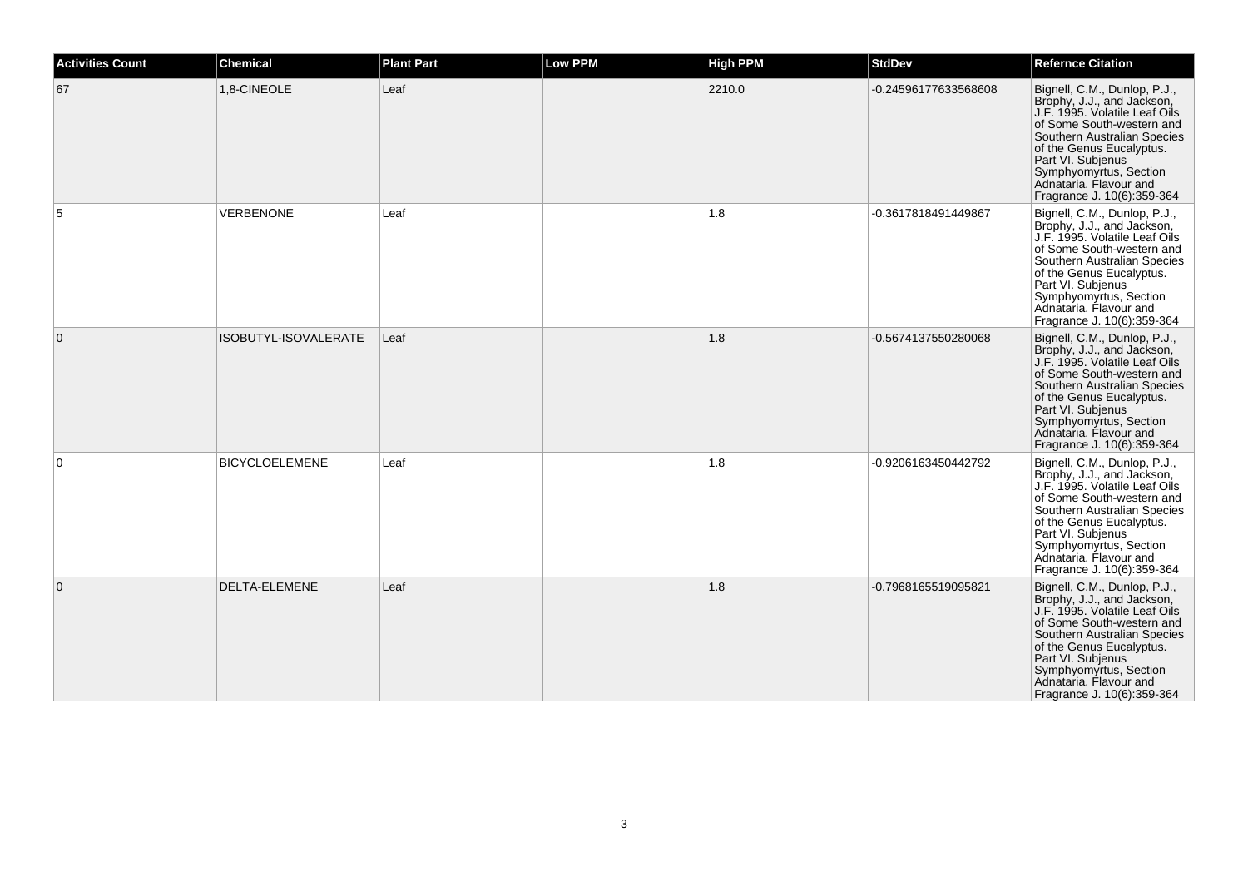| <b>Activities Count</b> | Chemical              | <b>Plant Part</b> | <b>Low PPM</b> | <b>High PPM</b> | <b>StdDev</b>        | <b>Refernce Citation</b>                                                                                                                                                                                                                                                                   |
|-------------------------|-----------------------|-------------------|----------------|-----------------|----------------------|--------------------------------------------------------------------------------------------------------------------------------------------------------------------------------------------------------------------------------------------------------------------------------------------|
| 67                      | 1,8-CINEOLE           | Leaf              |                | 2210.0          | -0.24596177633568608 | Bignell, C.M., Dunlop, P.J.,<br>Brophy, J.J., and Jackson,<br>J.F. 1995. Volatile Leaf Oils<br>of Some South-western and<br>Southern Australian Species<br>of the Genus Eucalyptus.<br>Part VI. Subjenus<br>Symphyomyrtus, Section<br>Adnataria. Flavour and<br>Fragrance J. 10(6):359-364 |
|                         | <b>VERBENONE</b>      | Leaf              |                | 1.8             | -0.3617818491449867  | Bignell, C.M., Dunlop, P.J.,<br>Brophy, J.J., and Jackson,<br>J.F. 1995. Volatile Leaf Oils<br>of Some South-western and<br>Southern Australian Species<br>of the Genus Eucalyptus.<br>Part VI. Subjenus<br>Symphyomyrtus, Section<br>Adnataria. Flavour and<br>Fragrance J. 10(6):359-364 |
| $\Omega$                | ISOBUTYL-ISOVALERATE  | Leaf              |                | 1.8             | -0.5674137550280068  | Bignell, C.M., Dunlop, P.J.,<br>Brophy, J.J., and Jackson,<br>J.F. 1995. Volatile Leaf Oils<br>of Some South-western and<br>Southern Australian Species<br>of the Genus Eucalyptus.<br>Part VI. Subjenus<br>Symphyomyrtus, Section<br>Adnataria. Flavour and<br>Fragrance J. 10(6):359-364 |
| $\Omega$                | <b>BICYCLOELEMENE</b> | Leaf              |                | 1.8             | -0.9206163450442792  | Bignell, C.M., Dunlop, P.J.,<br>Brophy, J.J., and Jackson,<br>J.F. 1995. Volatile Leaf Oils<br>of Some South-western and<br>Southern Australian Species<br>of the Genus Eucalyptus.<br>Part VI. Subjenus<br>Symphyomyrtus, Section<br>Adnataria. Flavour and<br>Fragrance J. 10(6):359-364 |
| $\mathbf{0}$            | DELTA-ELEMENE         | Leaf              |                | 1.8             | -0.7968165519095821  | Bignell, C.M., Dunlop, P.J.,<br>Brophy, J.J., and Jackson,<br>J.F. 1995. Volatile Leaf Oils<br>of Some South-western and<br>Southern Australian Species<br>of the Genus Eucalyptus.<br>Part VI. Subjenus<br>Symphyomyrtus, Section<br>Adnataria. Flavour and<br>Fragrance J. 10(6):359-364 |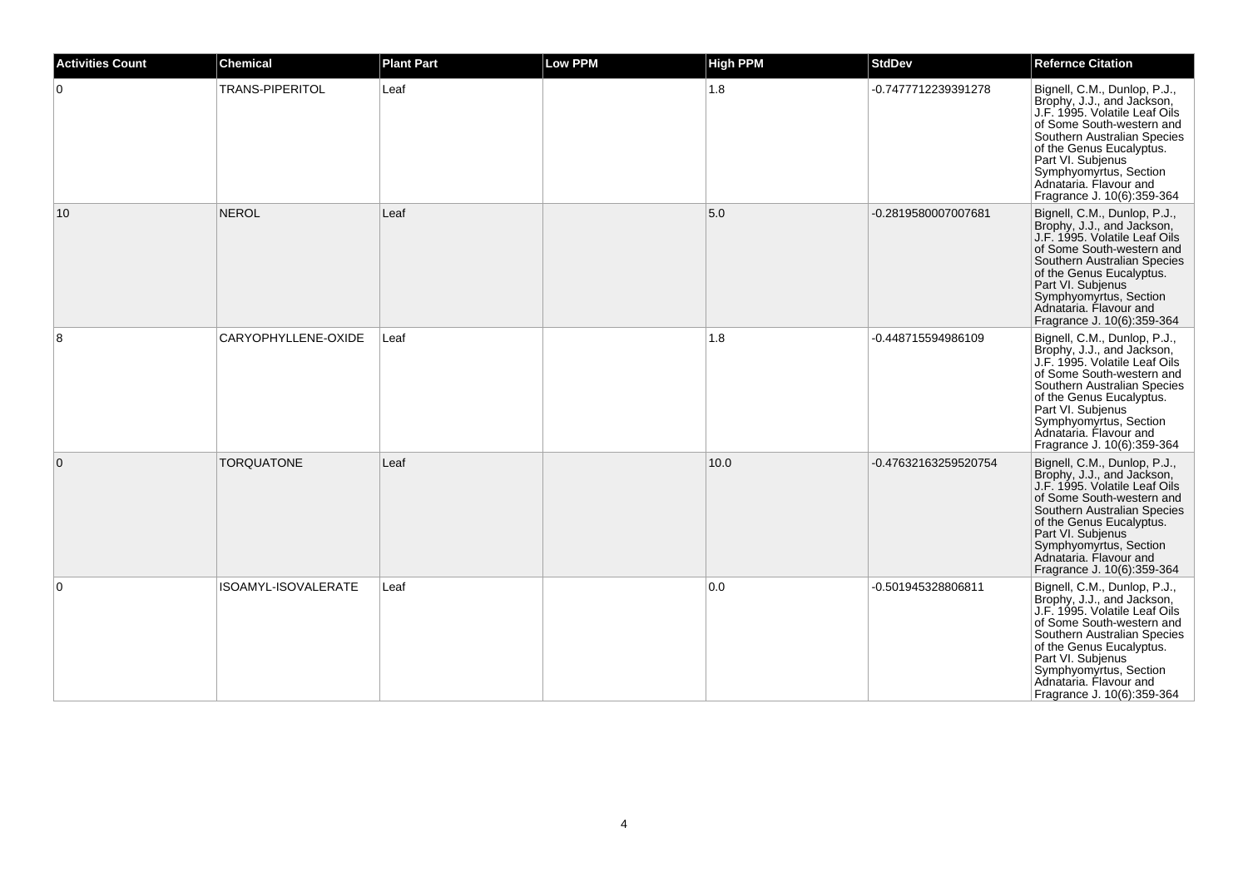| <b>Activities Count</b> | <b>Chemical</b>     | <b>Plant Part</b> | <b>Low PPM</b> | <b>High PPM</b> | <b>StdDev</b>        | <b>Refernce Citation</b>                                                                                                                                                                                                                                                                   |
|-------------------------|---------------------|-------------------|----------------|-----------------|----------------------|--------------------------------------------------------------------------------------------------------------------------------------------------------------------------------------------------------------------------------------------------------------------------------------------|
| $\overline{0}$          | TRANS-PIPERITOL     | Leaf              |                | 1.8             | -0.7477712239391278  | Bignell, C.M., Dunlop, P.J.,<br>Brophy, J.J., and Jackson,<br>J.F. 1995. Volatile Leaf Oils<br>of Some South-western and<br>Southern Australian Species<br>of the Genus Eucalyptus.<br>Part VI. Subjenus<br>Symphyomyrtus, Section<br>Adnataria. Flavour and<br>Fragrance J. 10(6):359-364 |
| 10                      | <b>NEROL</b>        | Leaf              |                | 5.0             | -0.2819580007007681  | Bignell, C.M., Dunlop, P.J.,<br>Brophy, J.J., and Jackson,<br>J.F. 1995. Volatile Leaf Oils<br>of Some South-western and<br>Southern Australian Species<br>of the Genus Eucalyptus.<br>Part VI. Subjenus<br>Symphyomyrtus, Section<br>Adnataria. Flavour and<br>Fragrance J. 10(6):359-364 |
| 8                       | CARYOPHYLLENE-OXIDE | Leaf              |                | 1.8             | -0.448715594986109   | Bignell, C.M., Dunlop, P.J.,<br>Brophy, J.J., and Jackson,<br>J.F. 1995. Volatile Leaf Oils<br>of Some South-western and<br>Southern Australian Species<br>of the Genus Eucalyptus.<br>Part VI. Subjenus<br>Symphyomyrtus, Section<br>Adnataria, Flavour and<br>Fragrance J. 10(6):359-364 |
| $\overline{0}$          | <b>TORQUATONE</b>   | Leaf              |                | 10.0            | -0.47632163259520754 | Bignell, C.M., Dunlop, P.J.,<br>Brophy, J.J., and Jackson,<br>J.F. 1995. Volatile Leaf Oils<br>of Some South-western and<br>Southern Australian Species<br>of the Genus Eucalyptus.<br>Part VI. Subjenus<br>Symphyomyrtus, Section<br>Adnataria. Flavour and<br>Fragrance J. 10(6):359-364 |
| $\overline{0}$          | ISOAMYL-ISOVALERATE | Leaf              |                | 0.0             | -0.501945328806811   | Bignell, C.M., Dunlop, P.J.,<br>Brophy, J.J., and Jackson,<br>J.F. 1995. Volatile Leaf Oils<br>of Some South-western and<br>Southern Australian Species<br>of the Genus Eucalyptus.<br>Part VI. Subjenus<br>Symphyomyrtus, Section<br>Adnataria. Flavour and<br>Fragrance J. 10(6):359-364 |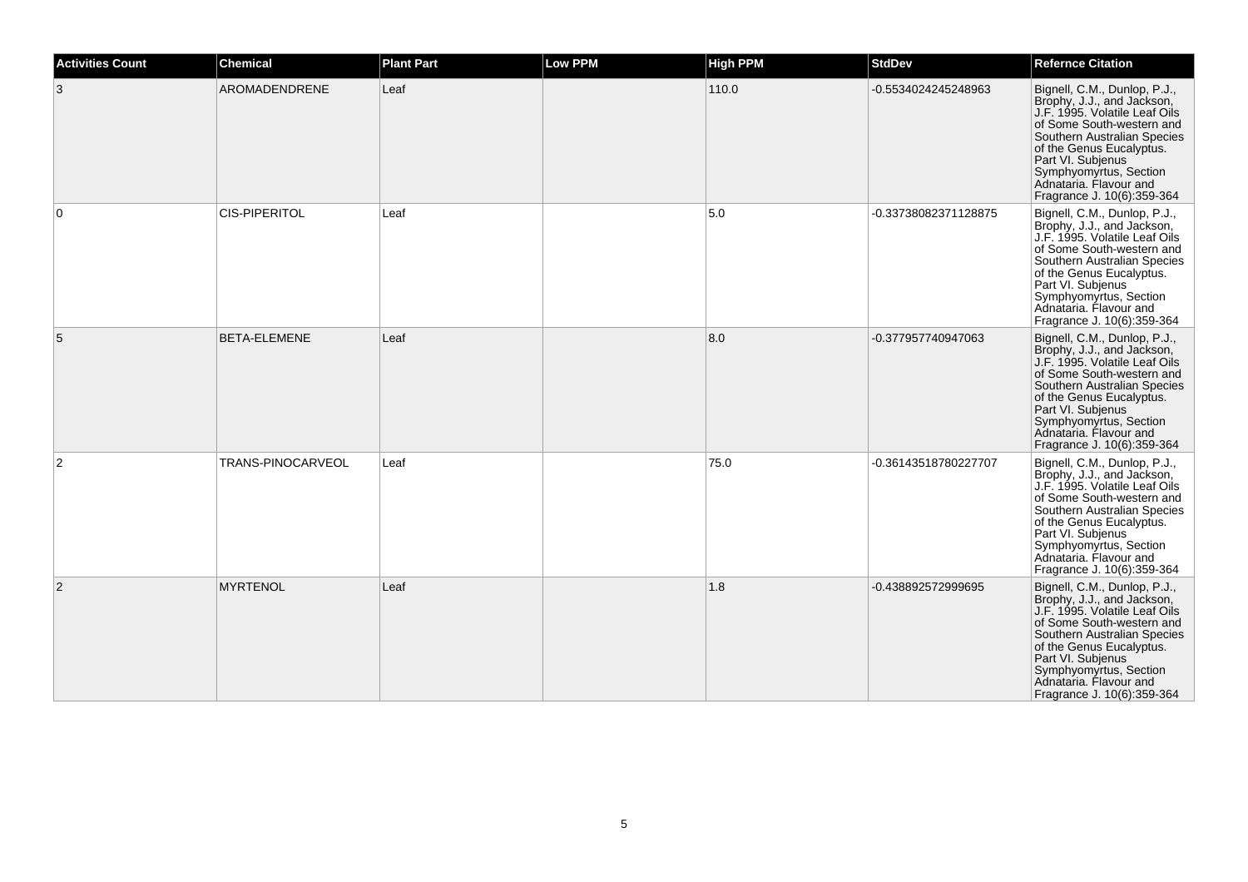| <b>Activities Count</b> | <b>Chemical</b>      | <b>Plant Part</b> | <b>Low PPM</b> | <b>High PPM</b> | <b>StdDev</b>        | <b>Refernce Citation</b>                                                                                                                                                                                                                                                                   |
|-------------------------|----------------------|-------------------|----------------|-----------------|----------------------|--------------------------------------------------------------------------------------------------------------------------------------------------------------------------------------------------------------------------------------------------------------------------------------------|
| 3                       | AROMADENDRENE        | Leaf              |                | 110.0           | -0.5534024245248963  | Bignell, C.M., Dunlop, P.J.,<br>Brophy, J.J., and Jackson,<br>J.F. 1995. Volatile Leaf Oils<br>of Some South-western and<br>Southern Australian Species<br>of the Genus Eucalyptus.<br>Part VI. Subjenus<br>Symphyomyrtus, Section<br>Adnataria. Flavour and<br>Fragrance J. 10(6):359-364 |
| $\overline{0}$          | <b>CIS-PIPERITOL</b> | Leaf              |                | 5.0             | -0.33738082371128875 | Bignell, C.M., Dunlop, P.J.,<br>Brophy, J.J., and Jackson,<br>J.F. 1995. Volatile Leaf Oils<br>of Some South-western and<br>Southern Australian Species<br>of the Genus Eucalyptus.<br>Part VI. Subjenus<br>Symphyomyrtus, Section<br>Adnataria, Flavour and<br>Fragrance J. 10(6):359-364 |
| 5                       | BETA-ELEMENE         | Leaf              |                | 8.0             | -0.377957740947063   | Bignell, C.M., Dunlop, P.J.,<br>Brophy, J.J., and Jackson,<br>J.F. 1995. Volatile Leaf Oils<br>of Some South-western and<br>Southern Australian Species<br>of the Genus Eucalyptus.<br>Part VI. Subjenus<br>Symphyomyrtus, Section<br>Adnataria, Flavour and<br>Fragrance J. 10(6):359-364 |
| $\overline{2}$          | TRANS-PINOCARVEOL    | Leaf              |                | 75.0            | -0.36143518780227707 | Bignell, C.M., Dunlop, P.J.,<br>Brophy, J.J., and Jackson,<br>J.F. 1995. Volatile Leaf Oils<br>of Some South-western and<br>Southern Australian Species<br>of the Genus Eucalyptus.<br>Part VI. Subjenus<br>Symphyomyrtus, Section<br>Adnataria. Flavour and<br>Fragrance J. 10(6):359-364 |
| 2                       | <b>MYRTENOL</b>      | Leaf              |                | 1.8             | -0.438892572999695   | Bignell, C.M., Dunlop, P.J.,<br>Brophy, J.J., and Jackson,<br>J.F. 1995. Volatile Leaf Oils<br>of Some South-western and<br>Southern Australian Species<br>of the Genus Eucalyptus.<br>Part VI. Subjenus<br>Symphyomyrtus, Section<br>Adnataria. Flavour and<br>Fragrance J. 10(6):359-364 |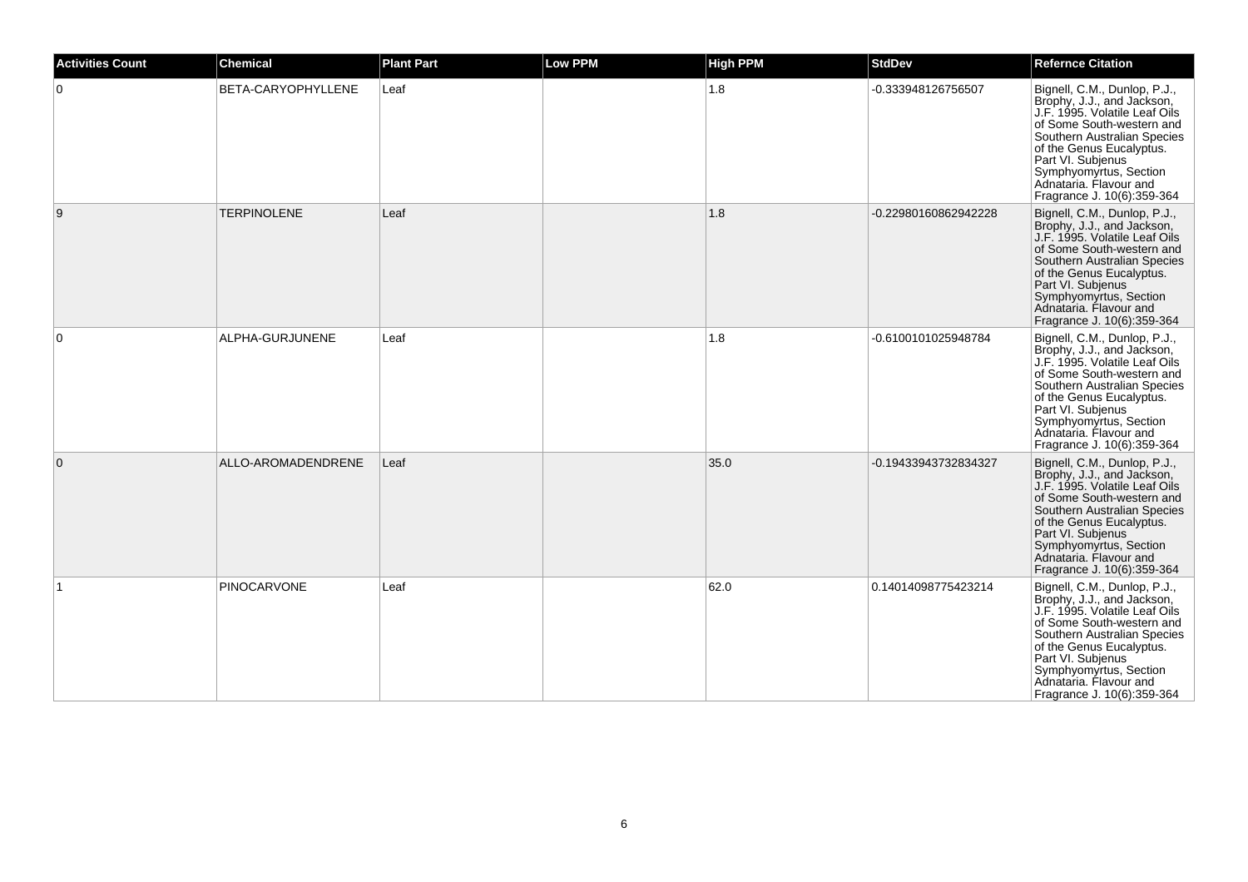| <b>Activities Count</b> | <b>Chemical</b>    | <b>Plant Part</b> | <b>Low PPM</b> | <b>High PPM</b> | <b>StdDev</b>        | <b>Refernce Citation</b>                                                                                                                                                                                                                                                                   |
|-------------------------|--------------------|-------------------|----------------|-----------------|----------------------|--------------------------------------------------------------------------------------------------------------------------------------------------------------------------------------------------------------------------------------------------------------------------------------------|
| 0                       | BETA-CARYOPHYLLENE | Leaf              |                | 1.8             | -0.333948126756507   | Bignell, C.M., Dunlop, P.J.,<br>Brophy, J.J., and Jackson,<br>J.F. 1995. Volatile Leaf Oils<br>of Some South-western and<br>Southern Australian Species<br>of the Genus Eucalyptus.<br>Part VI. Subjenus<br>Symphyomyrtus, Section<br>Adnataria. Flavour and<br>Fragrance J. 10(6):359-364 |
| 9                       | <b>TERPINOLENE</b> | Leaf              |                | 1.8             | -0.22980160862942228 | Bignell, C.M., Dunlop, P.J.,<br>Brophy, J.J., and Jackson,<br>J.F. 1995. Volatile Leaf Oils<br>of Some South-western and<br>Southern Australian Species<br>of the Genus Eucalyptus.<br>Part VI. Subjenus<br>Symphyomyrtus, Section<br>Adnataria. Flavour and<br>Fragrance J. 10(6):359-364 |
| $\mathbf 0$             | ALPHA-GURJUNENE    | Leaf              |                | 1.8             | -0.6100101025948784  | Bignell, C.M., Dunlop, P.J.,<br>Brophy, J.J., and Jackson,<br>J.F. 1995. Volatile Leaf Oils<br>of Some South-western and<br>Southern Australian Species<br>of the Genus Eucalyptus.<br>Part VI. Subjenus<br>Symphyomyrtus, Section<br>Adnataria. Flavour and<br>Fragrance J. 10(6):359-364 |
| $\overline{0}$          | ALLO-AROMADENDRENE | Leaf              |                | 35.0            | -0.19433943732834327 | Bignell, C.M., Dunlop, P.J.,<br>Brophy, J.J., and Jackson,<br>J.F. 1995. Volatile Leaf Oils<br>of Some South-western and<br>Southern Australian Species<br>of the Genus Eucalyptus.<br>Part VI. Subjenus<br>Symphyomyrtus, Section<br>Adnataria. Flavour and<br>Fragrance J. 10(6):359-364 |
|                         | <b>PINOCARVONE</b> | Leaf              |                | 62.0            | 0.14014098775423214  | Bignell, C.M., Dunlop, P.J.,<br>Brophy, J.J., and Jackson,<br>J.F. 1995. Volatile Leaf Oils<br>of Some South-western and<br>Southern Australian Species<br>of the Genus Eucalyptus.<br>Part VI. Subjenus<br>Symphyomyrtus, Section<br>Adnataria. Flavour and<br>Fragrance J. 10(6):359-364 |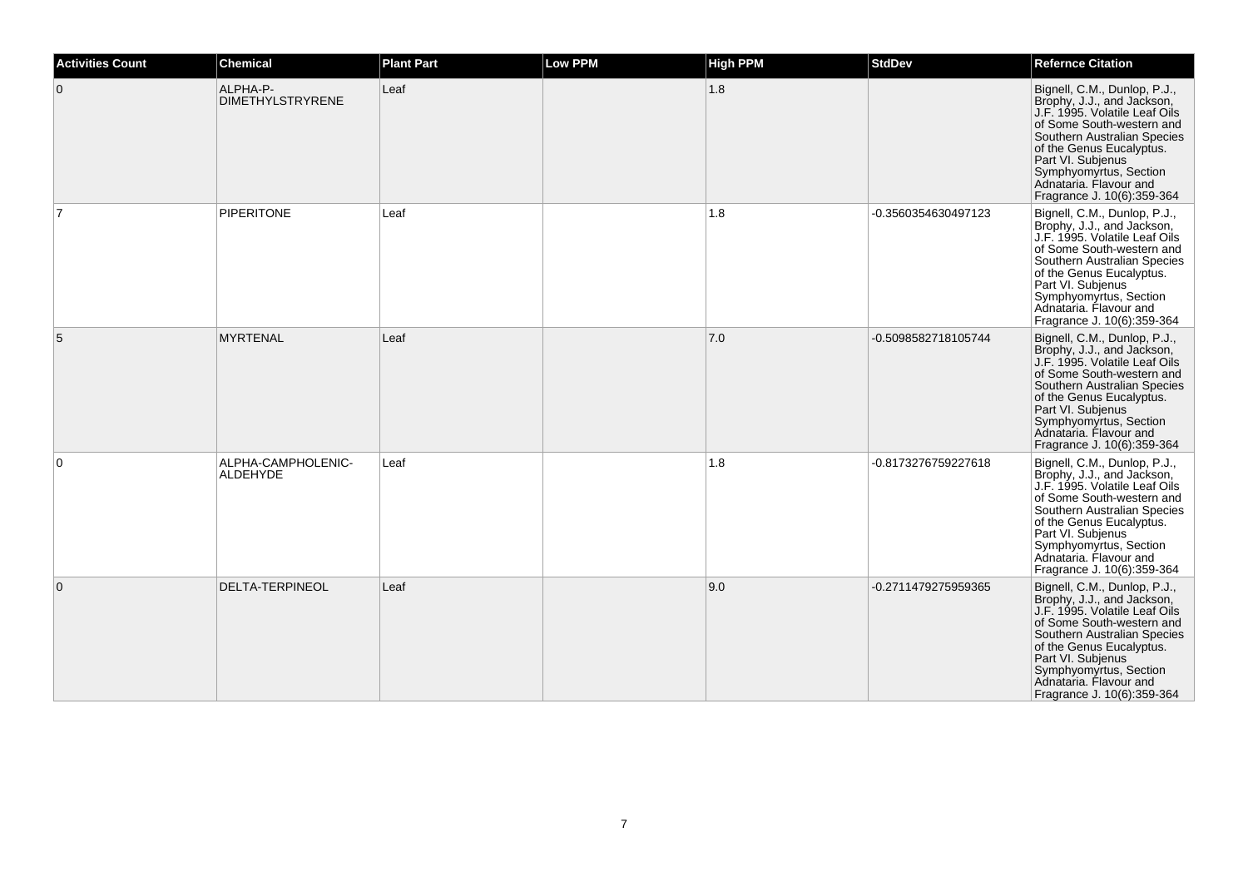| <b>Activities Count</b> | <b>Chemical</b>                       | <b>Plant Part</b> | <b>Low PPM</b> | <b>High PPM</b> | <b>StdDev</b>       | <b>Refernce Citation</b>                                                                                                                                                                                                                                                                   |
|-------------------------|---------------------------------------|-------------------|----------------|-----------------|---------------------|--------------------------------------------------------------------------------------------------------------------------------------------------------------------------------------------------------------------------------------------------------------------------------------------|
| $\overline{0}$          | ALPHA-P-<br><b>DIMETHYLSTRYRENE</b>   | Leaf              |                | 1.8             |                     | Bignell, C.M., Dunlop, P.J.,<br>Brophy, J.J., and Jackson,<br>J.F. 1995. Volatile Leaf Oils<br>of Some South-western and<br>Southern Australian Species<br>of the Genus Eucalyptus.<br>Part VI. Subjenus<br>Symphyomyrtus, Section<br>Adnataria. Flavour and<br>Fragrance J. 10(6):359-364 |
|                         | <b>PIPERITONE</b>                     | Leaf              |                | 1.8             | -0.3560354630497123 | Bignell, C.M., Dunlop, P.J.,<br>Brophy, J.J., and Jackson,<br>J.F. 1995. Volatile Leaf Oils<br>of Some South-western and<br>Southern Australian Species<br>of the Genus Eucalyptus.<br>Part VI. Subjenus<br>Symphyomyrtus, Section<br>Adnataria. Flavour and<br>Fragrance J. 10(6):359-364 |
| 5                       | <b>MYRTENAL</b>                       | Leaf              |                | 7.0             | -0.5098582718105744 | Bignell, C.M., Dunlop, P.J.,<br>Brophy, J.J., and Jackson,<br>J.F. 1995. Volatile Leaf Oils<br>of Some South-western and<br>Southern Australian Species<br>of the Genus Eucalyptus.<br>Part VI. Subjenus<br>Symphyomyrtus, Section<br>Adnataria, Flavour and<br>Fragrance J. 10(6):359-364 |
| $\overline{0}$          | ALPHA-CAMPHOLENIC-<br><b>ALDEHYDE</b> | Leaf              |                | 1.8             | -0.8173276759227618 | Bignell, C.M., Dunlop, P.J.,<br>Brophy, J.J., and Jackson,<br>J.F. 1995. Volatile Leaf Oils<br>of Some South-western and<br>Southern Australian Species<br>of the Genus Eucalyptus.<br>Part VI. Subjenus<br>Symphyomyrtus, Section<br>Adnataria. Flavour and<br>Fragrance J. 10(6):359-364 |
| $\overline{0}$          | <b>DELTA-TERPINEOL</b>                | Leaf              |                | 9.0             | -0.2711479275959365 | Bignell, C.M., Dunlop, P.J.,<br>Brophy, J.J., and Jackson,<br>J.F. 1995. Volatile Leaf Oils<br>of Some South-western and<br>Southern Australian Species<br>of the Genus Eucalyptus.<br>Part VI. Subjenus<br>Symphyomyrtus, Section<br>Adnataria, Flavour and<br>Fragrance J. 10(6):359-364 |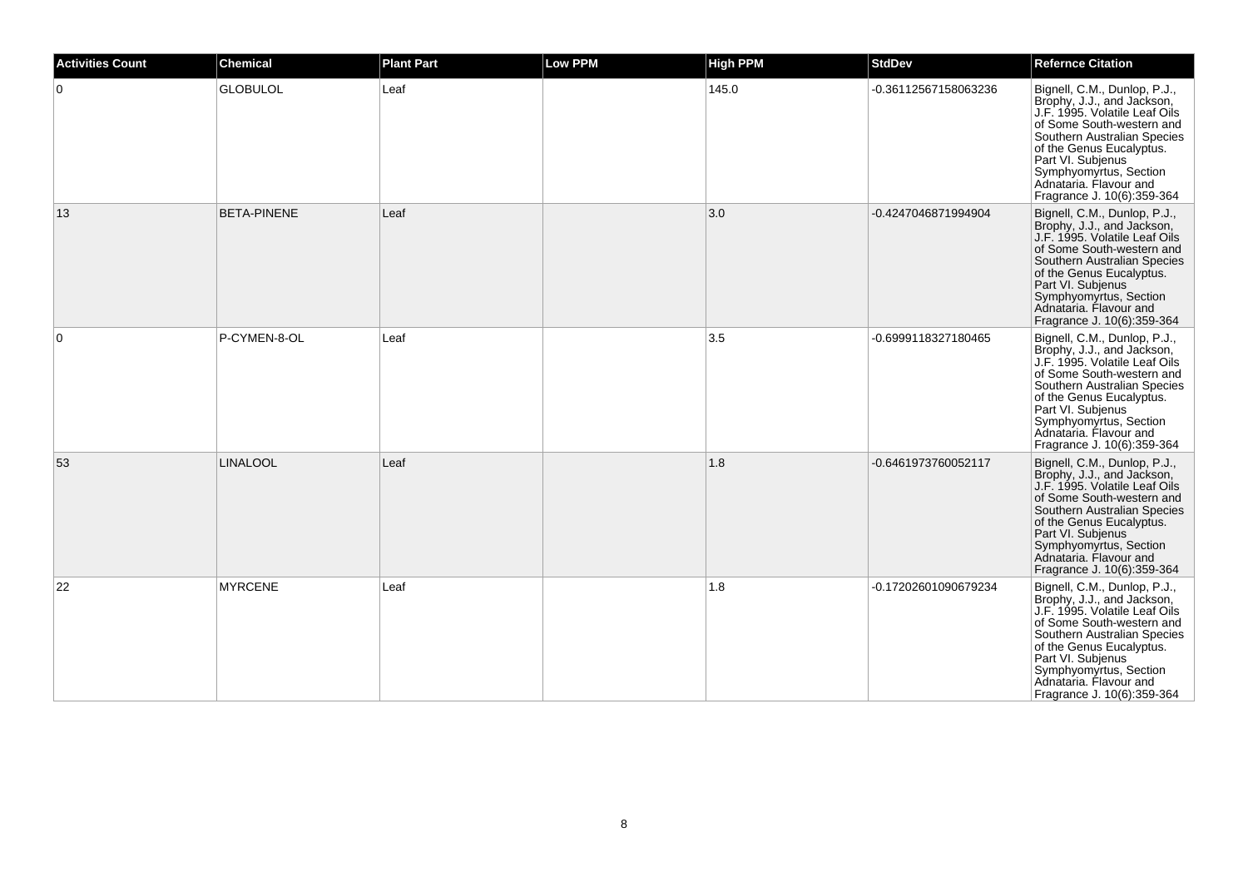| <b>Activities Count</b> | <b>Chemical</b>    | <b>Plant Part</b> | <b>Low PPM</b> | <b>High PPM</b> | <b>StdDev</b>        | <b>Refernce Citation</b>                                                                                                                                                                                                                                                                   |
|-------------------------|--------------------|-------------------|----------------|-----------------|----------------------|--------------------------------------------------------------------------------------------------------------------------------------------------------------------------------------------------------------------------------------------------------------------------------------------|
| $\overline{0}$          | <b>GLOBULOL</b>    | Leaf              |                | 145.0           | -0.36112567158063236 | Bignell, C.M., Dunlop, P.J.,<br>Brophy, J.J., and Jackson,<br>J.F. 1995. Volatile Leaf Oils<br>of Some South-western and<br>Southern Australian Species<br>of the Genus Eucalyptus.<br>Part VI. Subjenus<br>Symphyomyrtus, Section<br>Adnataria, Flavour and<br>Fragrance J. 10(6):359-364 |
| 13                      | <b>BETA-PINENE</b> | Leaf              |                | 3.0             | -0.4247046871994904  | Bignell, C.M., Dunlop, P.J.,<br>Brophy, J.J., and Jackson,<br>J.F. 1995. Volatile Leaf Oils<br>of Some South-western and<br>Southern Australian Species<br>of the Genus Eucalyptus.<br>Part VI. Subjenus<br>Symphyomyrtus, Section<br>Adnataria, Flavour and<br>Fragrance J. 10(6):359-364 |
| $\overline{0}$          | P-CYMEN-8-OL       | Leaf              |                | 3.5             | -0.6999118327180465  | Bignell, C.M., Dunlop, P.J.,<br>Brophy, J.J., and Jackson,<br>J.F. 1995. Volatile Leaf Oils<br>of Some South-western and<br>Southern Australian Species<br>of the Genus Eucalyptus.<br>Part VI. Subjenus<br>Symphyomyrtus, Section<br>Adnataria. Flavour and<br>Fragrance J. 10(6):359-364 |
| 53                      | <b>LINALOOL</b>    | Leaf              |                | 1.8             | -0.6461973760052117  | Bignell, C.M., Dunlop, P.J.,<br>Brophy, J.J., and Jackson,<br>J.F. 1995. Volatile Leaf Oils<br>of Some South-western and<br>Southern Australian Species<br>of the Genus Eucalyptus.<br>Part VI. Subjenus<br>Symphyomyrtus, Section<br>Adnataria. Flavour and<br>Fragrance J. 10(6):359-364 |
| 22                      | <b>MYRCENE</b>     | Leaf              |                | 1.8             | -0.17202601090679234 | Bignell, C.M., Dunlop, P.J.,<br>Brophy, J.J., and Jackson,<br>J.F. 1995. Volatile Leaf Oils<br>of Some South-western and<br>Southern Australian Species<br>of the Genus Eucalyptus.<br>Part VI. Subjenus<br>Symphyomyrtus, Section<br>Adnataria. Flavour and<br>Fragrance J. 10(6):359-364 |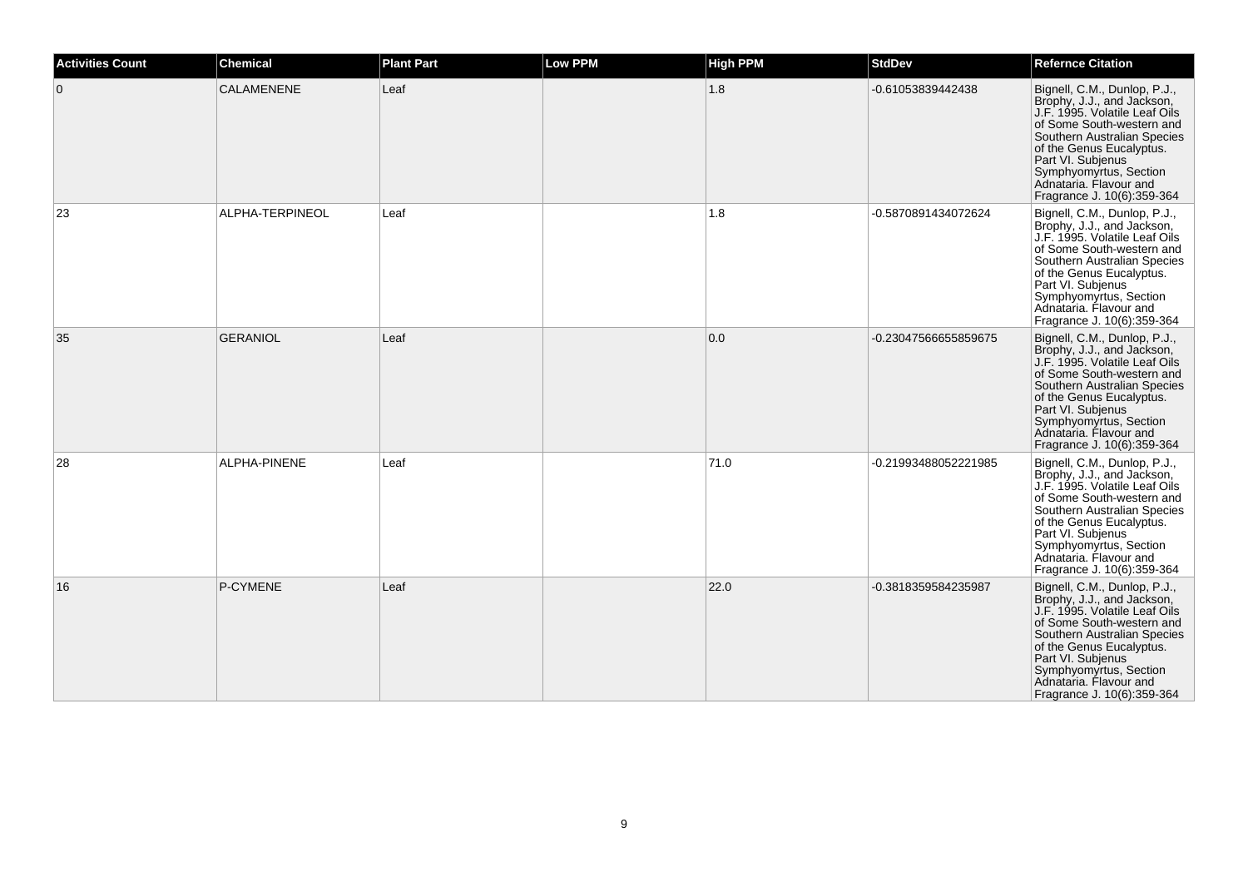| <b>Activities Count</b> | <b>Chemical</b>   | <b>Plant Part</b> | <b>Low PPM</b> | <b>High PPM</b> | <b>StdDev</b>        | <b>Refernce Citation</b>                                                                                                                                                                                                                                                                   |
|-------------------------|-------------------|-------------------|----------------|-----------------|----------------------|--------------------------------------------------------------------------------------------------------------------------------------------------------------------------------------------------------------------------------------------------------------------------------------------|
| $\overline{0}$          | <b>CALAMENENE</b> | Leaf              |                | 1.8             | -0.61053839442438    | Bignell, C.M., Dunlop, P.J.,<br>Brophy, J.J., and Jackson,<br>J.F. 1995. Volatile Leaf Oils<br>of Some South-western and<br>Southern Australian Species<br>of the Genus Eucalyptus.<br>Part VI. Subjenus<br>Symphyomyrtus, Section<br>Adnataria. Flavour and<br>Fragrance J. 10(6):359-364 |
| 23                      | ALPHA-TERPINEOL   | Leaf              |                | 1.8             | -0.5870891434072624  | Bignell, C.M., Dunlop, P.J.,<br>Brophy, J.J., and Jackson,<br>J.F. 1995. Volatile Leaf Oils<br>of Some South-western and<br>Southern Australian Species<br>of the Genus Eucalyptus.<br>Part VI. Subjenus<br>Symphyomyrtus, Section<br>Adnataria. Flavour and<br>Fragrance J. 10(6):359-364 |
| 35                      | <b>GERANIOL</b>   | Leaf              |                | 0.0             | -0.23047566655859675 | Bignell, C.M., Dunlop, P.J.,<br>Brophy, J.J., and Jackson,<br>J.F. 1995. Volatile Leaf Oils<br>of Some South-western and<br>Southern Australian Species<br>of the Genus Eucalyptus.<br>Part VI. Subjenus<br>Symphyomyrtus, Section<br>Adnataria. Flavour and<br>Fragrance J. 10(6):359-364 |
| 28                      | ALPHA-PINENE      | Leaf              |                | 71.0            | -0.21993488052221985 | Bignell, C.M., Dunlop, P.J.,<br>Brophy, J.J., and Jackson,<br>J.F. 1995. Volatile Leaf Oils<br>of Some South-western and<br>Southern Australian Species<br>of the Genus Eucalyptus.<br>Part VI. Subjenus<br>Symphyomyrtus, Section<br>Adnataria. Flavour and<br>Fragrance J. 10(6):359-364 |
| 16                      | P-CYMENE          | Leaf              |                | 22.0            | -0.3818359584235987  | Bignell, C.M., Dunlop, P.J.,<br>Brophy, J.J., and Jackson,<br>J.F. 1995. Volatile Leaf Oils<br>of Some South-western and<br>Southern Australian Species<br>of the Genus Eucalyptus.<br>Part VI. Subjenus<br>Symphyomyrtus, Section<br>Adnataria. Flavour and<br>Fragrance J. 10(6):359-364 |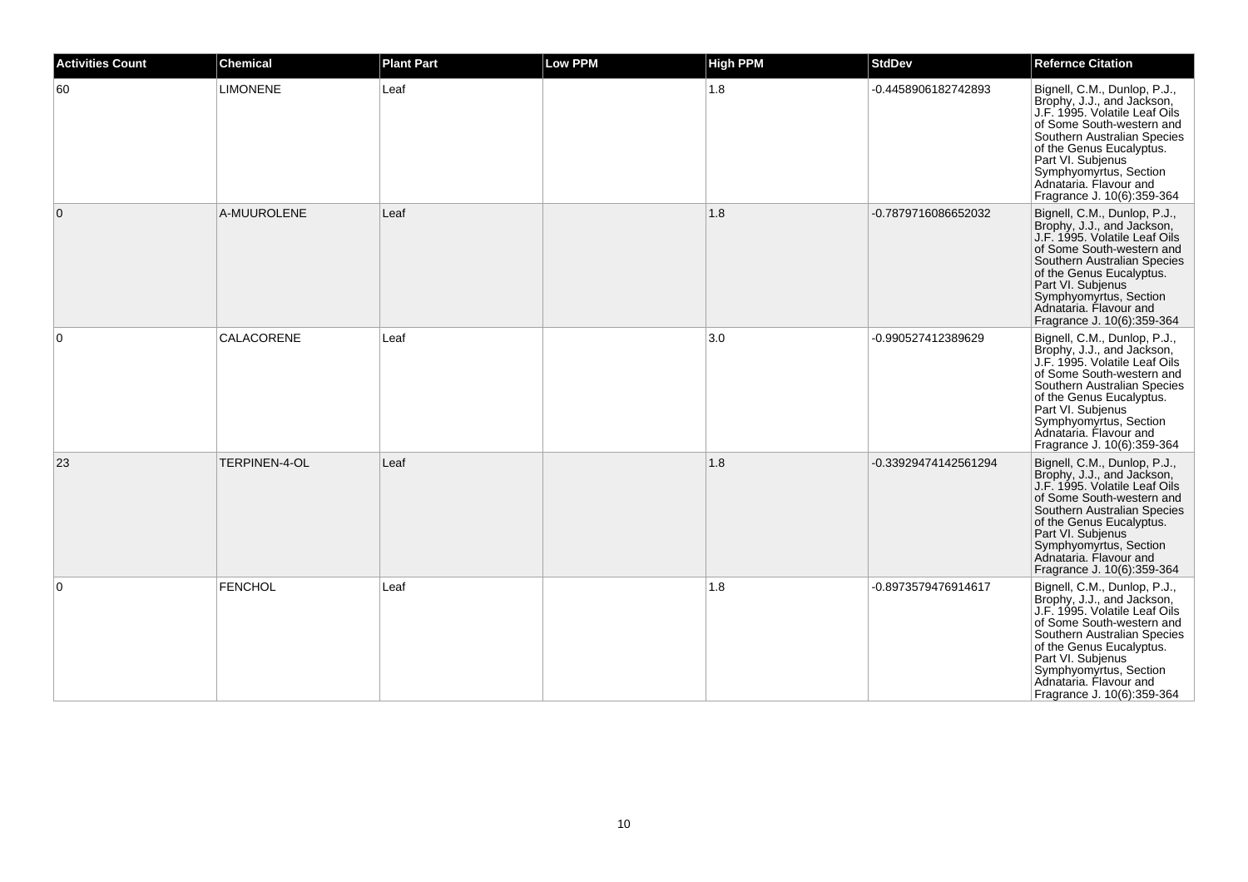| <b>Activities Count</b> | <b>Chemical</b> | <b>Plant Part</b> | <b>Low PPM</b> | <b>High PPM</b> | <b>StdDev</b>        | <b>Refernce Citation</b>                                                                                                                                                                                                                                                                   |
|-------------------------|-----------------|-------------------|----------------|-----------------|----------------------|--------------------------------------------------------------------------------------------------------------------------------------------------------------------------------------------------------------------------------------------------------------------------------------------|
| 60                      | <b>LIMONENE</b> | Leaf              |                | 1.8             | -0.4458906182742893  | Bignell, C.M., Dunlop, P.J.,<br>Brophy, J.J., and Jackson,<br>J.F. 1995. Volatile Leaf Oils<br>of Some South-western and<br>Southern Australian Species<br>of the Genus Eucalyptus.<br>Part VI. Subjenus<br>Symphyomyrtus, Section<br>Adnataria, Flavour and<br>Fragrance J. 10(6):359-364 |
| $\overline{0}$          | A-MUUROLENE     | Leaf              |                | 1.8             | -0.7879716086652032  | Bignell, C.M., Dunlop, P.J.,<br>Brophy, J.J., and Jackson,<br>J.F. 1995. Volatile Leaf Oils<br>of Some South-western and<br>Southern Australian Species<br>of the Genus Eucalyptus.<br>Part VI. Subjenus<br>Symphyomyrtus, Section<br>Adnataria, Flavour and<br>Fragrance J. 10(6):359-364 |
| $\overline{0}$          | CALACORENE      | Leaf              |                | 3.0             | -0.990527412389629   | Bignell, C.M., Dunlop, P.J.,<br>Brophy, J.J., and Jackson,<br>J.F. 1995. Volatile Leaf Oils<br>of Some South-western and<br>Southern Australian Species<br>of the Genus Eucalyptus.<br>Part VI. Subjenus<br>Symphyomyrtus, Section<br>Adnataria. Flavour and<br>Fragrance J. 10(6):359-364 |
| 23                      | TERPINEN-4-OL   | Leaf              |                | 1.8             | -0.33929474142561294 | Bignell, C.M., Dunlop, P.J.,<br>Brophy, J.J., and Jackson,<br>J.F. 1995. Volatile Leaf Oils<br>of Some South-western and<br>Southern Australian Species<br>of the Genus Eucalyptus.<br>Part VI. Subjenus<br>Symphyomyrtus, Section<br>Adnataria. Flavour and<br>Fragrance J. 10(6):359-364 |
| $\overline{0}$          | FENCHOL         | Leaf              |                | 1.8             | -0.8973579476914617  | Bignell, C.M., Dunlop, P.J.,<br>Brophy, J.J., and Jackson,<br>J.F. 1995. Volatile Leaf Oils<br>of Some South-western and<br>Southern Australian Species<br>of the Genus Eucalyptus.<br>Part VI. Subjenus<br>Symphyomyrtus, Section<br>Adnataria. Flavour and<br>Fragrance J. 10(6):359-364 |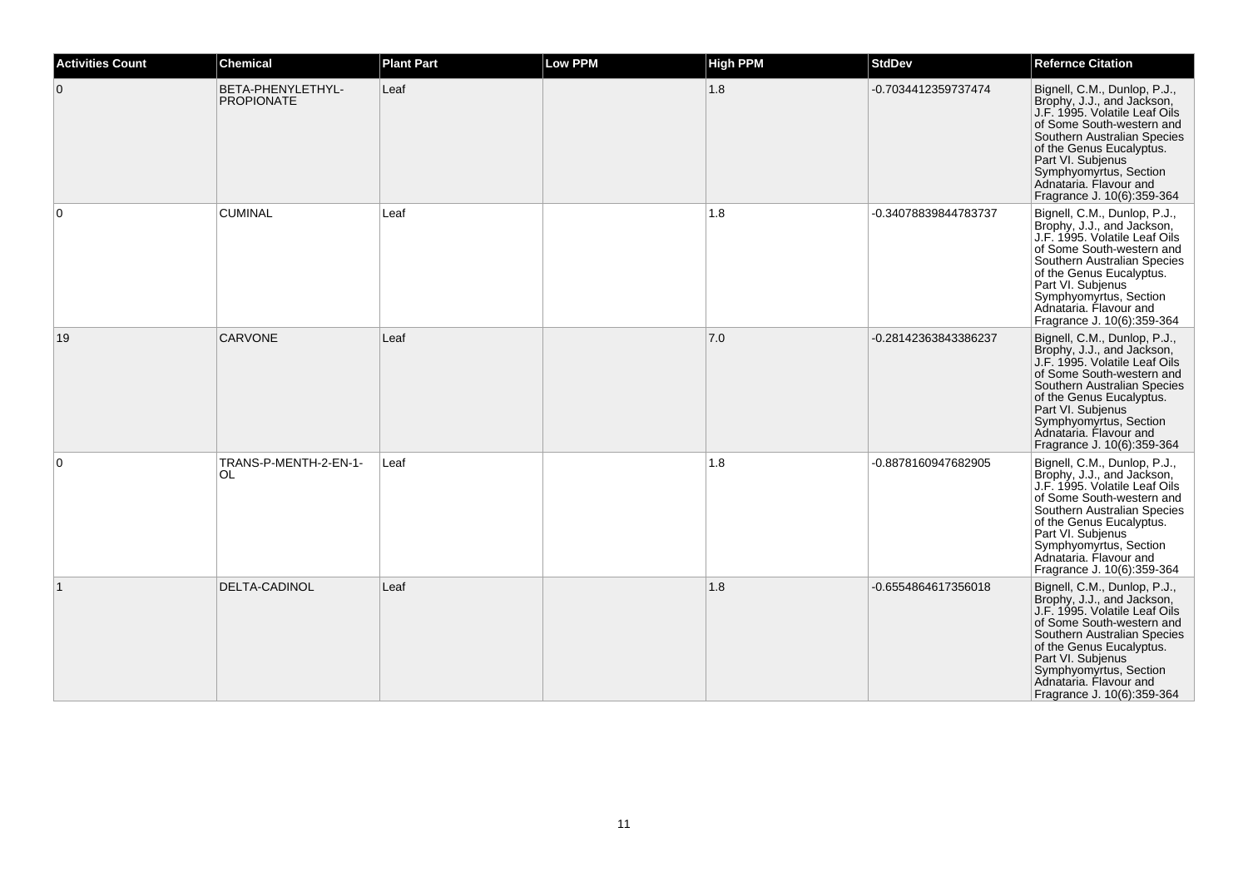| <b>Activities Count</b> | <b>Chemical</b>                        | <b>Plant Part</b> | <b>Low PPM</b> | <b>High PPM</b> | <b>StdDev</b>        | <b>Refernce Citation</b>                                                                                                                                                                                                                                                                   |
|-------------------------|----------------------------------------|-------------------|----------------|-----------------|----------------------|--------------------------------------------------------------------------------------------------------------------------------------------------------------------------------------------------------------------------------------------------------------------------------------------|
| $\overline{0}$          | BETA-PHENYLETHYL-<br><b>PROPIONATE</b> | Leaf              |                | 1.8             | -0.7034412359737474  | Bignell, C.M., Dunlop, P.J.,<br>Brophy, J.J., and Jackson,<br>J.F. 1995. Volatile Leaf Oils<br>of Some South-western and<br>Southern Australian Species<br>of the Genus Eucalyptus.<br>Part VI. Subjenus<br>Symphyomyrtus, Section<br>Adnataria. Flavour and<br>Fragrance J. 10(6):359-364 |
| $\overline{0}$          | <b>CUMINAL</b>                         | Leaf              |                | 1.8             | -0.34078839844783737 | Bignell, C.M., Dunlop, P.J.,<br>Brophy, J.J., and Jackson,<br>J.F. 1995. Volatile Leaf Oils<br>of Some South-western and<br>Southern Australian Species<br>of the Genus Eucalyptus.<br>Part VI. Subjenus<br>Symphyomyrtus, Section<br>Adnataria. Flavour and<br>Fragrance J. 10(6):359-364 |
| 19                      | <b>CARVONE</b>                         | Leaf              |                | 7.0             | -0.28142363843386237 | Bignell, C.M., Dunlop, P.J.,<br>Brophy, J.J., and Jackson,<br>J.F. 1995. Volatile Leaf Oils<br>of Some South-western and<br>Southern Australian Species<br>of the Genus Eucalyptus.<br>Part VI. Subjenus<br>Symphyomyrtus, Section<br>Adnataria. Flavour and<br>Fragrance J. 10(6):359-364 |
| $\overline{0}$          | TRANS-P-MENTH-2-EN-1-<br>OL            | Leaf              |                | 1.8             | -0.8878160947682905  | Bignell, C.M., Dunlop, P.J.,<br>Brophy, J.J., and Jackson,<br>J.F. 1995. Volatile Leaf Oils<br>of Some South-western and<br>Southern Australian Species<br>of the Genus Eucalyptus.<br>Part VI. Subjenus<br>Symphyomyrtus, Section<br>Adnataria. Flavour and<br>Fragrance J. 10(6):359-364 |
|                         | <b>DELTA-CADINOL</b>                   | Leaf              |                | 1.8             | -0.6554864617356018  | Bignell, C.M., Dunlop, P.J.,<br>Brophy, J.J., and Jackson,<br>J.F. 1995. Volatile Leaf Oils<br>of Some South-western and<br>Southern Australian Species<br>of the Genus Eucalyptus.<br>Part VI. Subjenus<br>Symphyomyrtus, Section<br>Adnataria. Flavour and<br>Fragrance J. 10(6):359-364 |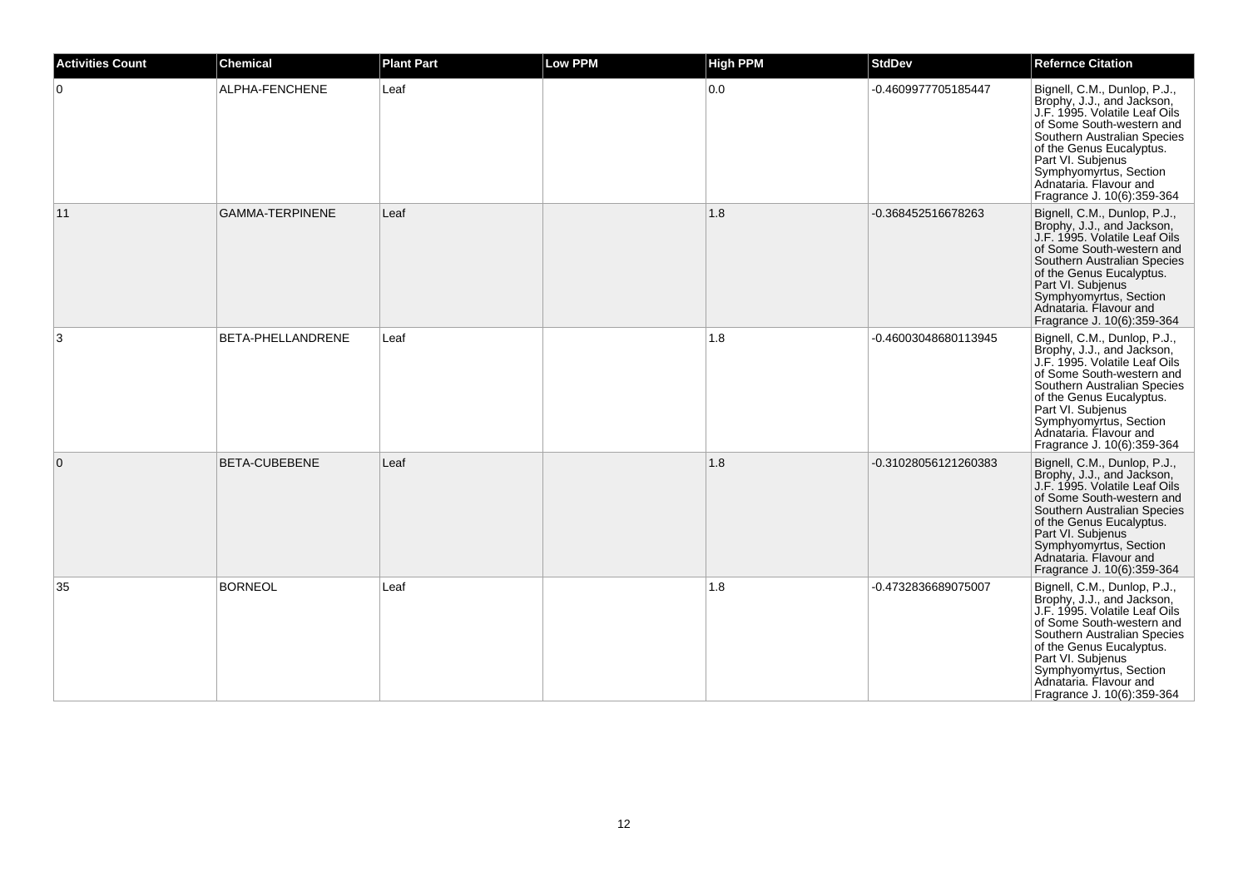| <b>Activities Count</b> | <b>Chemical</b>        | <b>Plant Part</b> | <b>Low PPM</b> | <b>High PPM</b> | <b>StdDev</b>        | <b>Refernce Citation</b>                                                                                                                                                                                                                                                                   |
|-------------------------|------------------------|-------------------|----------------|-----------------|----------------------|--------------------------------------------------------------------------------------------------------------------------------------------------------------------------------------------------------------------------------------------------------------------------------------------|
| $\overline{0}$          | ALPHA-FENCHENE         | Leaf              |                | 0.0             | -0.4609977705185447  | Bignell, C.M., Dunlop, P.J.,<br>Brophy, J.J., and Jackson,<br>J.F. 1995. Volatile Leaf Oils<br>of Some South-western and<br>Southern Australian Species<br>of the Genus Eucalyptus.<br>Part VI. Subjenus<br>Symphyomyrtus, Section<br>Adnataria. Flavour and<br>Fragrance J. 10(6):359-364 |
| 11                      | <b>GAMMA-TERPINENE</b> | Leaf              |                | 1.8             | -0.368452516678263   | Bignell, C.M., Dunlop, P.J.,<br>Brophy, J.J., and Jackson,<br>J.F. 1995. Volatile Leaf Oils<br>of Some South-western and<br>Southern Australian Species<br>of the Genus Eucalyptus.<br>Part VI. Subjenus<br>Symphyomyrtus, Section<br>Adnataria. Flavour and<br>Fragrance J. 10(6):359-364 |
| 3                       | BETA-PHELLANDRENE      | Leaf              |                | 1.8             | -0.46003048680113945 | Bignell, C.M., Dunlop, P.J.,<br>Brophy, J.J., and Jackson,<br>J.F. 1995. Volatile Leaf Oils<br>of Some South-western and<br>Southern Australian Species<br>of the Genus Eucalyptus.<br>Part VI. Subjenus<br>Symphyomyrtus, Section<br>Adnataria, Flavour and<br>Fragrance J. 10(6):359-364 |
| $\overline{0}$          | <b>BETA-CUBEBENE</b>   | Leaf              |                | 1.8             | -0.31028056121260383 | Bignell, C.M., Dunlop, P.J.,<br>Brophy, J.J., and Jackson,<br>J.F. 1995. Volatile Leaf Oils<br>of Some South-western and<br>Southern Australian Species<br>of the Genus Eucalyptus.<br>Part VI. Subjenus<br>Symphyomyrtus, Section<br>Adnataria. Flavour and<br>Fragrance J. 10(6):359-364 |
| 35                      | <b>BORNEOL</b>         | Leaf              |                | 1.8             | -0.4732836689075007  | Bignell, C.M., Dunlop, P.J.,<br>Brophy, J.J., and Jackson,<br>J.F. 1995. Volatile Leaf Oils<br>of Some South-western and<br>Southern Australian Species<br>of the Genus Eucalyptus.<br>Part VI. Subjenus<br>Symphyomyrtus, Section<br>Adnataria. Flavour and<br>Fragrance J. 10(6):359-364 |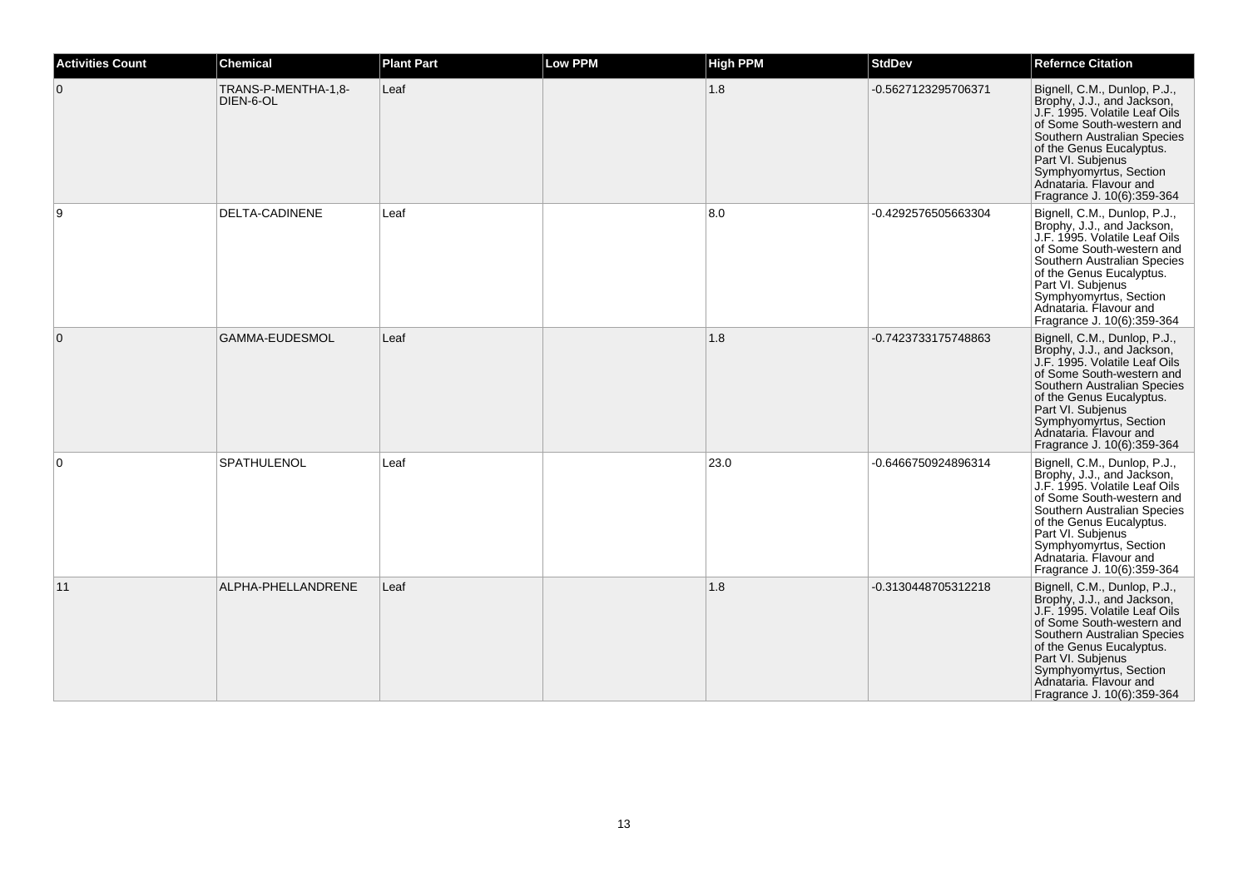| <b>Activities Count</b> | <b>Chemical</b>                  | <b>Plant Part</b> | <b>Low PPM</b> | <b>High PPM</b> | <b>StdDev</b>       | <b>Refernce Citation</b>                                                                                                                                                                                                                                                                   |
|-------------------------|----------------------------------|-------------------|----------------|-----------------|---------------------|--------------------------------------------------------------------------------------------------------------------------------------------------------------------------------------------------------------------------------------------------------------------------------------------|
| $\overline{0}$          | TRANS-P-MENTHA-1,8-<br>DIEN-6-OL | Leaf              |                | 1.8             | -0.5627123295706371 | Bignell, C.M., Dunlop, P.J.,<br>Brophy, J.J., and Jackson,<br>J.F. 1995. Volatile Leaf Oils<br>of Some South-western and<br>Southern Australian Species<br>of the Genus Eucalyptus.<br>Part VI. Subjenus<br>Symphyomyrtus, Section<br>Adnataria, Flavour and<br>Fragrance J. 10(6):359-364 |
| 9                       | <b>DELTA-CADINENE</b>            | Leaf              |                | 8.0             | -0.4292576505663304 | Bignell, C.M., Dunlop, P.J.,<br>Brophy, J.J., and Jackson,<br>J.F. 1995. Volatile Leaf Oils<br>of Some South-western and<br>Southern Australian Species<br>of the Genus Eucalyptus.<br>Part VI. Subjenus<br>Symphyomyrtus, Section<br>Adnataria, Flavour and<br>Fragrance J. 10(6):359-364 |
| $\overline{0}$          | <b>GAMMA-EUDESMOL</b>            | Leaf              |                | 1.8             | -0.7423733175748863 | Bignell, C.M., Dunlop, P.J.,<br>Brophy, J.J., and Jackson,<br>J.F. 1995. Volatile Leaf Oils<br>of Some South-western and<br>Southern Australian Species<br>of the Genus Eucalyptus.<br>Part VI. Subjenus<br>Symphyomyrtus, Section<br>Adnataria, Flavour and<br>Fragrance J. 10(6):359-364 |
| $\overline{0}$          | <b>SPATHULENOL</b>               | Leaf              |                | 23.0            | -0.6466750924896314 | Bignell, C.M., Dunlop, P.J.,<br>Brophy, J.J., and Jackson,<br>J.F. 1995. Volatile Leaf Oils<br>of Some South-western and<br>Southern Australian Species<br>of the Genus Eucalyptus.<br>Part VI. Subjenus<br>Symphyomyrtus, Section<br>Adnataria. Flavour and<br>Fragrance J. 10(6):359-364 |
| 11                      | ALPHA-PHELLANDRENE               | Leaf              |                | 1.8             | -0.3130448705312218 | Bignell, C.M., Dunlop, P.J.,<br>Brophy, J.J., and Jackson,<br>J.F. 1995. Volatile Leaf Oils<br>of Some South-western and<br>Southern Australian Species<br>of the Genus Eucalyptus.<br>Part VI. Subjenus<br>Symphyomyrtus, Section<br>Adnataria. Flavour and<br>Fragrance J. 10(6):359-364 |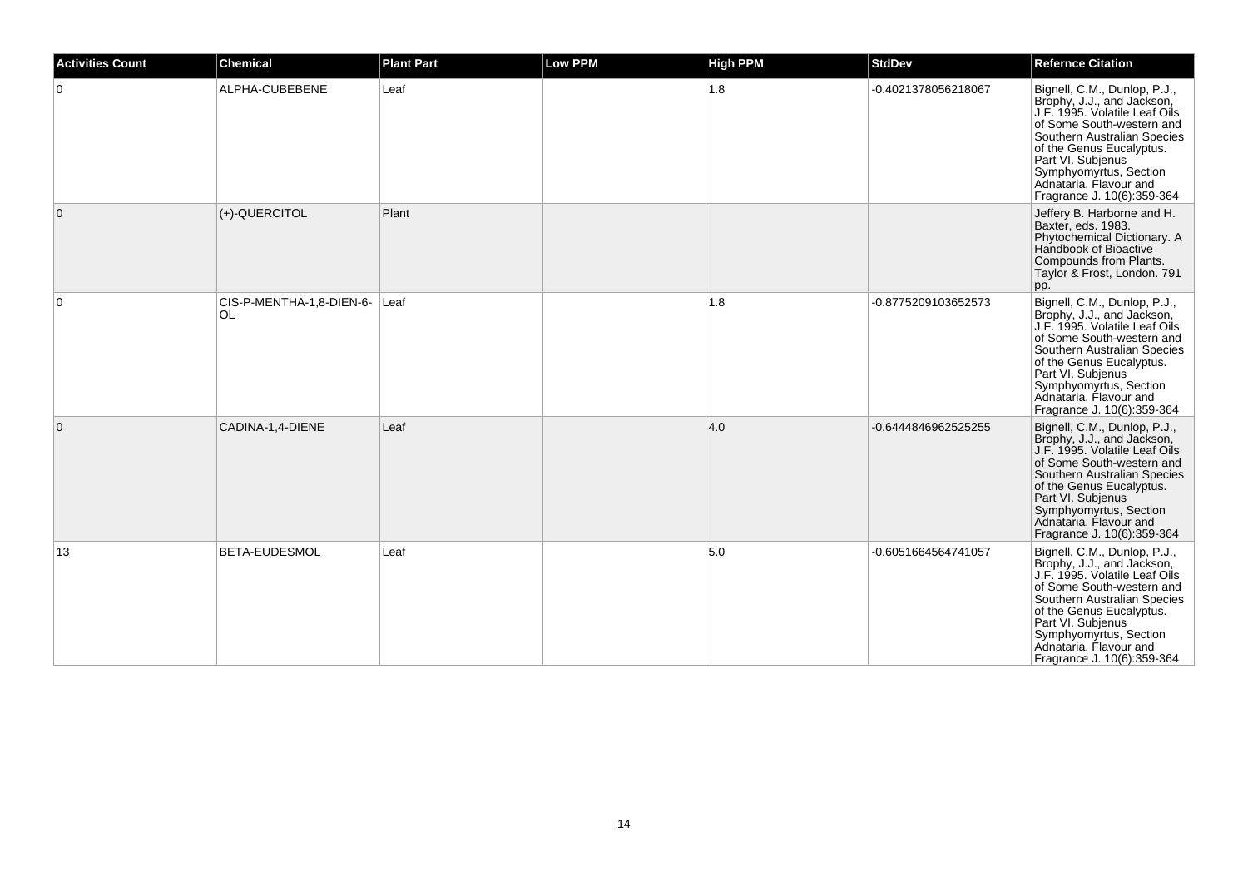| <b>Activities Count</b> | Chemical                        | <b>Plant Part</b> | <b>Low PPM</b> | <b>High PPM</b> | <b>StdDev</b>       | <b>Refernce Citation</b>                                                                                                                                                                                                                                                                   |
|-------------------------|---------------------------------|-------------------|----------------|-----------------|---------------------|--------------------------------------------------------------------------------------------------------------------------------------------------------------------------------------------------------------------------------------------------------------------------------------------|
| $\Omega$                | ALPHA-CUBEBENE                  | Leaf              |                | 1.8             | -0.4021378056218067 | Bignell, C.M., Dunlop, P.J.,<br>Brophy, J.J., and Jackson,<br>J.F. 1995. Volatile Leaf Oils<br>of Some South-western and<br>Southern Australian Species<br>of the Genus Eucalyptus.<br>Part VI. Subjenus<br>Symphyomyrtus, Section<br>Adnataria. Flavour and<br>Fragrance J. 10(6):359-364 |
| $\mathbf 0$             | (+)-QUERCITOL                   | Plant             |                |                 |                     | Jeffery B. Harborne and H.<br>Baxter, eds. 1983.<br>Phytochemical Dictionary. A<br>Handbook of Bioactive<br>Compounds from Plants.<br>Taylor & Frost, London. 791<br>pp.                                                                                                                   |
| 0                       | CIS-P-MENTHA-1,8-DIEN-6-<br>OL. | Leaf              |                | 1.8             | -0.8775209103652573 | Bignell, C.M., Dunlop, P.J.,<br>Brophy, J.J., and Jackson,<br>J.F. 1995. Volatile Leaf Oils<br>of Some South-western and<br>Southern Australian Species<br>of the Genus Eucalyptus.<br>Part VI. Subjenus<br>Symphyomyrtus, Section<br>Adnataria, Flavour and<br>Fragrance J. 10(6):359-364 |
| $\mathbf{0}$            | CADINA-1,4-DIENE                | Leaf              |                | 4.0             | -0.6444846962525255 | Bignell, C.M., Dunlop, P.J.,<br>Brophy, J.J., and Jackson,<br>J.F. 1995. Volatile Leaf Oils<br>of Some South-western and<br>Southern Australian Species<br>of the Genus Eucalyptus.<br>Part VI. Subjenus<br>Symphyomyrtus, Section<br>Adnataria. Flavour and<br>Fragrance J. 10(6):359-364 |
| 13                      | <b>BETA-EUDESMOL</b>            | Leaf              |                | 5.0             | -0.6051664564741057 | Bignell, C.M., Dunlop, P.J.,<br>Brophy, J.J., and Jackson,<br>J.F. 1995. Volatile Leaf Oils<br>of Some South-western and<br>Southern Australian Species<br>of the Genus Eucalyptus.<br>Part VI. Subjenus<br>Symphyomyrtus, Section<br>Adnataria. Flavour and<br>Fragrance J. 10(6):359-364 |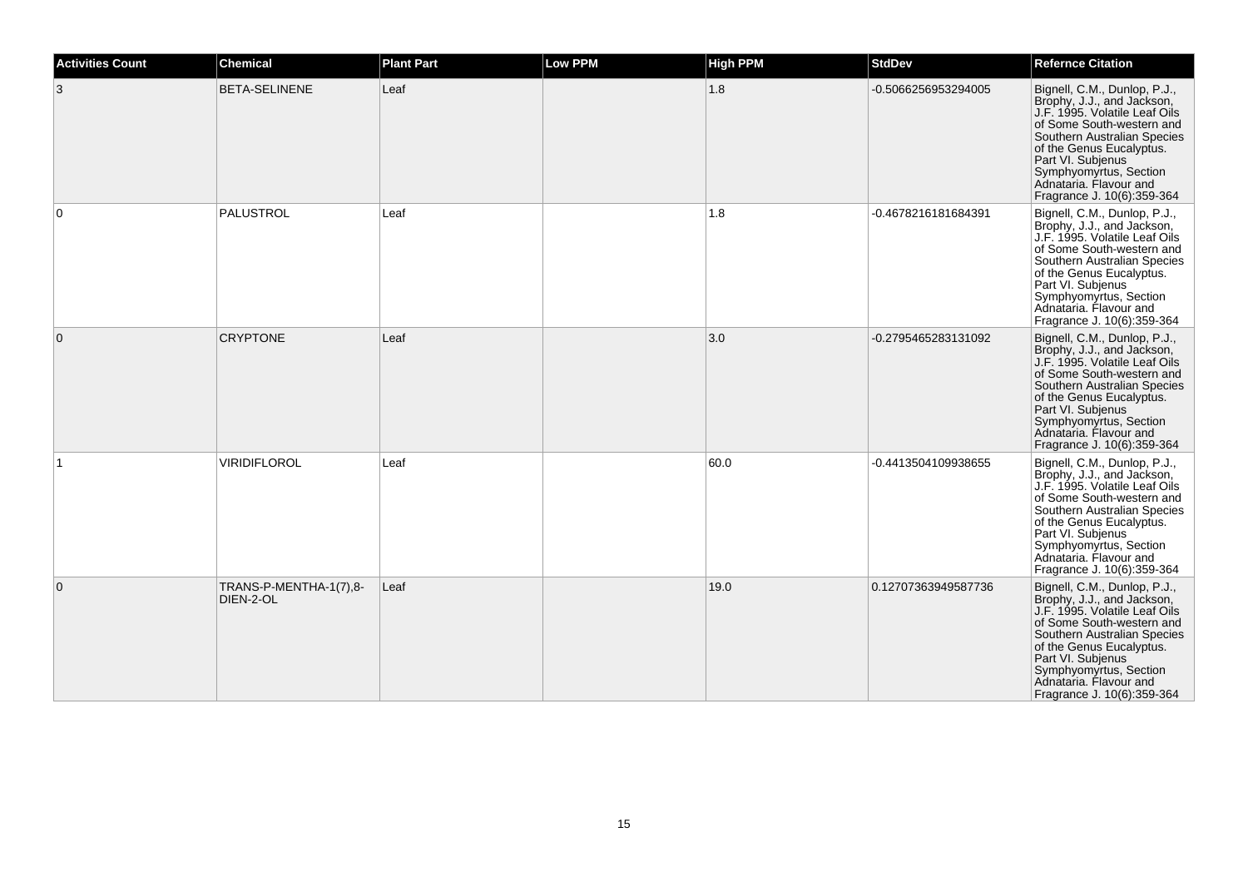| <b>Activities Count</b> | <b>Chemical</b>                     | <b>Plant Part</b> | <b>Low PPM</b> | <b>High PPM</b> | <b>StdDev</b>       | <b>Refernce Citation</b>                                                                                                                                                                                                                                                                   |
|-------------------------|-------------------------------------|-------------------|----------------|-----------------|---------------------|--------------------------------------------------------------------------------------------------------------------------------------------------------------------------------------------------------------------------------------------------------------------------------------------|
| 3                       | <b>BETA-SELINENE</b>                | Leaf              |                | 1.8             | -0.5066256953294005 | Bignell, C.M., Dunlop, P.J.,<br>Brophy, J.J., and Jackson,<br>J.F. 1995. Volatile Leaf Oils<br>of Some South-western and<br>Southern Australian Species<br>of the Genus Eucalyptus.<br>Part VI. Subjenus<br>Symphyomyrtus, Section<br>Adnataria. Flavour and<br>Fragrance J. 10(6):359-364 |
| $\Omega$                | PALUSTROL                           | Leaf              |                | 1.8             | -0.4678216181684391 | Bignell, C.M., Dunlop, P.J.,<br>Brophy, J.J., and Jackson,<br>J.F. 1995. Volatile Leaf Oils<br>of Some South-western and<br>Southern Australian Species<br>of the Genus Eucalyptus.<br>Part VI. Subjenus<br>Symphyomyrtus, Section<br>Adnataria. Flavour and<br>Fragrance J. 10(6):359-364 |
| $\overline{0}$          | <b>CRYPTONE</b>                     | Leaf              |                | 3.0             | -0.2795465283131092 | Bignell, C.M., Dunlop, P.J.,<br>Brophy, J.J., and Jackson,<br>J.F. 1995. Volatile Leaf Oils<br>of Some South-western and<br>Southern Australian Species<br>of the Genus Eucalyptus.<br>Part VI. Subjenus<br>Symphyomyrtus, Section<br>Adnataria. Flavour and<br>Fragrance J. 10(6):359-364 |
|                         | VIRIDIFLOROL                        | Leaf              |                | 60.0            | -0.4413504109938655 | Bignell, C.M., Dunlop, P.J.,<br>Brophy, J.J., and Jackson,<br>J.F. 1995. Volatile Leaf Oils<br>of Some South-western and<br>Southern Australian Species<br>of the Genus Eucalyptus.<br>Part VI. Subjenus<br>Symphyomyrtus, Section<br>Adnataria. Flavour and<br>Fragrance J. 10(6):359-364 |
| $\mathbf{0}$            | TRANS-P-MENTHA-1(7),8-<br>DIEN-2-OL | Leaf              |                | 19.0            | 0.12707363949587736 | Bignell, C.M., Dunlop, P.J.,<br>Brophy, J.J., and Jackson,<br>J.F. 1995. Volatile Leaf Oils<br>of Some South-western and<br>Southern Australian Species<br>of the Genus Eucalyptus.<br>Part VI. Subjenus<br>Symphyomyrtus, Section<br>Adnataria. Flavour and<br>Fragrance J. 10(6):359-364 |